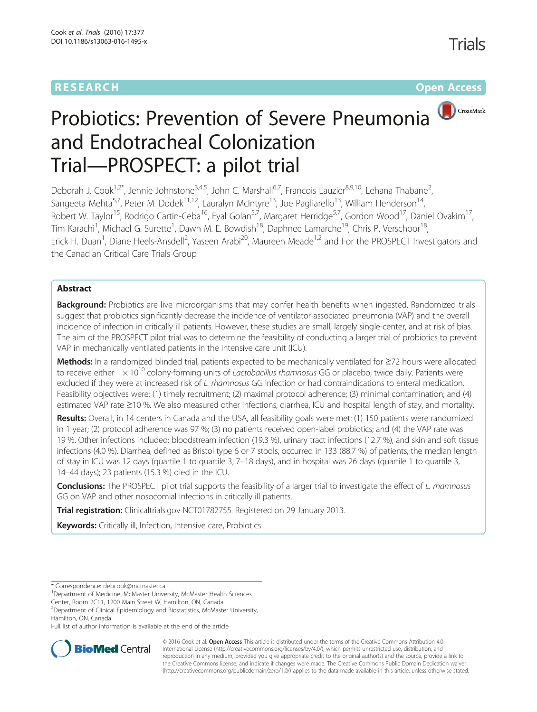# **RESEARCH CHEAR CHEAR CHEAR CHEAR CHEAR CHEAR CHEAR CHEAR CHEAR CHEAR CHEAR CHEAR CHEAR CHEAR CHEAR CHEAR CHEAR**



# Probiotics: Prevention of Severe Pneumonia and Endotracheal Colonization Trial—PROSPECT: a pilot trial

Deborah J. Cook<sup>1,2\*</sup>, Jennie Johnstone<sup>3,4,5</sup>, John C. Marshall<sup>6,7</sup>, Francois Lauzier<sup>8,9,10</sup>, Lehana Thabane<sup>2</sup>, , Sangeeta Mehta<sup>5,7</sup>, Peter M. Dodek<sup>11,12</sup>, Lauralyn McIntyre<sup>13</sup>, Joe Pagliarello<sup>13</sup>, William Henderson<sup>14</sup>, Robert W. Taylor<sup>15</sup>, Rodrigo Cartin-Ceba<sup>16</sup>, Eyal Golan<sup>5,7</sup>, Margaret Herridge<sup>5,7</sup>, Gordon Wood<sup>17</sup>, Daniel Ovakim<sup>17</sup>, Tim Karachi<sup>1</sup>, Michael G. Surette<sup>1</sup>, Dawn M. E. Bowdish<sup>18</sup>, Daphnee Lamarche<sup>19</sup>, Chris P. Verschoor<sup>18</sup>, Erick H. Duan<sup>1</sup>, Diane Heels-Ansdell<sup>2</sup>, Yaseen Arabi<sup>20</sup>, Maureen Meade<sup>1,2</sup> and For the PROSPECT Investigators and the Canadian Critical Care Trials Group

# Abstract

Background: Probiotics are live microorganisms that may confer health benefits when ingested. Randomized trials suggest that probiotics significantly decrease the incidence of ventilator-associated pneumonia (VAP) and the overall incidence of infection in critically ill patients. However, these studies are small, largely single-center, and at risk of bias. The aim of the PROSPECT pilot trial was to determine the feasibility of conducting a larger trial of probiotics to prevent VAP in mechanically ventilated patients in the intensive care unit (ICU).

Methods: In a randomized blinded trial, patients expected to be mechanically ventilated for ≥72 hours were allocated to receive either  $1 \times 10^{10}$  colony-forming units of *Lactobacillus rhamnosus* GG or placebo, twice daily. Patients were excluded if they were at increased risk of L. rhamnosus GG infection or had contraindications to enteral medication. Feasibility objectives were: (1) timely recruitment; (2) maximal protocol adherence; (3) minimal contamination; and (4) estimated VAP rate ≥10 %. We also measured other infections, diarrhea, ICU and hospital length of stay, and mortality.

Results: Overall, in 14 centers in Canada and the USA, all feasibility goals were met: (1) 150 patients were randomized in 1 year; (2) protocol adherence was 97 %; (3) no patients received open-label probiotics; and (4) the VAP rate was 19 %. Other infections included: bloodstream infection (19.3 %), urinary tract infections (12.7 %), and skin and soft tissue infections (4.0 %). Diarrhea, defined as Bristol type 6 or 7 stools, occurred in 133 (88.7 %) of patients, the median length of stay in ICU was 12 days (quartile 1 to quartile 3, 7–18 days), and in hospital was 26 days (quartile 1 to quartile 3, 14–44 days); 23 patients (15.3 %) died in the ICU.

Conclusions: The PROSPECT pilot trial supports the feasibility of a larger trial to investigate the effect of L. rhamnosus GG on VAP and other nosocomial infections in critically ill patients.

Trial registration: Clinicaltrials.gov [NCT01782755.](https://clinicaltrials.gov/ct2/show/NCT01782755) Registered on 29 January 2013.

Keywords: Critically ill, Infection, Intensive care, Probiotics

Center, Room 2C11, 1200 Main Street W, Hamilton, ON, Canada

<sup>2</sup>Department of Clinical Epidemiology and Biostatistics, McMaster University, Hamilton, ON, Canada

Full list of author information is available at the end of the article



© 2016 Cook et al. **Open Access** This article is distributed under the terms of the Creative Commons Attribution 4.0 International License [\(http://creativecommons.org/licenses/by/4.0/](http://creativecommons.org/licenses/by/4.0/)), which permits unrestricted use, distribution, and reproduction in any medium, provided you give appropriate credit to the original author(s) and the source, provide a link to the Creative Commons license, and indicate if changes were made. The Creative Commons Public Domain Dedication waiver [\(http://creativecommons.org/publicdomain/zero/1.0/](http://creativecommons.org/publicdomain/zero/1.0/)) applies to the data made available in this article, unless otherwise stated.

<sup>\*</sup> Correspondence: [debcook@mcmaster.ca](mailto:debcook@mcmaster.ca) <sup>1</sup>

<sup>&</sup>lt;sup>1</sup>Department of Medicine, McMaster University, McMaster Health Sciences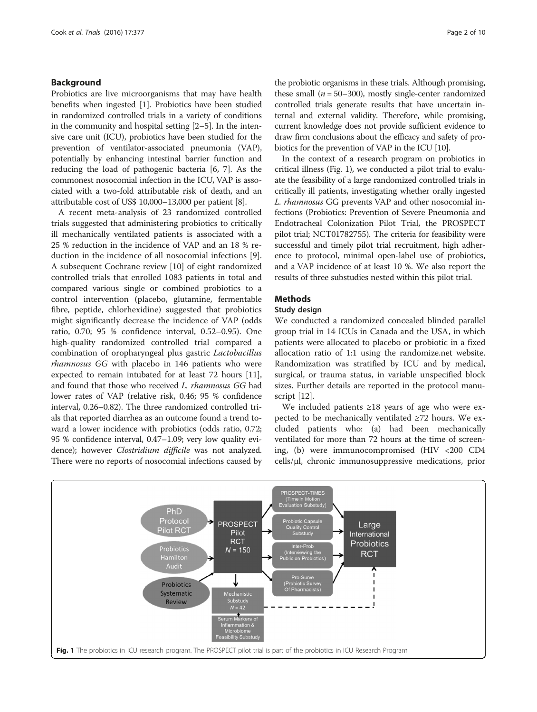# Background

Probiotics are live microorganisms that may have health benefits when ingested [[1\]](#page-8-0). Probiotics have been studied in randomized controlled trials in a variety of conditions in the community and hospital setting [\[2](#page-8-0)–[5\]](#page-8-0). In the intensive care unit (ICU), probiotics have been studied for the prevention of ventilator-associated pneumonia (VAP), potentially by enhancing intestinal barrier function and reducing the load of pathogenic bacteria [\[6, 7](#page-8-0)]. As the commonest nosocomial infection in the ICU, VAP is associated with a two-fold attributable risk of death, and an attributable cost of US\$ 10,000–13,000 per patient [\[8\]](#page-9-0).

A recent meta-analysis of 23 randomized controlled trials suggested that administering probiotics to critically ill mechanically ventilated patients is associated with a 25 % reduction in the incidence of VAP and an 18 % reduction in the incidence of all nosocomial infections [\[9](#page-9-0)]. A subsequent Cochrane review [\[10](#page-9-0)] of eight randomized controlled trials that enrolled 1083 patients in total and compared various single or combined probiotics to a control intervention (placebo, glutamine, fermentable fibre, peptide, chlorhexidine) suggested that probiotics might significantly decrease the incidence of VAP (odds ratio, 0.70; 95 % confidence interval, 0.52–0.95). One high-quality randomized controlled trial compared a combination of oropharyngeal plus gastric Lactobacillus rhamnosus GG with placebo in 146 patients who were expected to remain intubated for at least 72 hours [[11](#page-9-0)], and found that those who received L. rhamnosus GG had lower rates of VAP (relative risk, 0.46; 95 % confidence interval, 0.26–0.82). The three randomized controlled trials that reported diarrhea as an outcome found a trend toward a lower incidence with probiotics (odds ratio, 0.72; 95 % confidence interval, 0.47–1.09; very low quality evidence); however Clostridium difficile was not analyzed. There were no reports of nosocomial infections caused by

the probiotic organisms in these trials. Although promising, these small  $(n = 50-300)$ , mostly single-center randomized controlled trials generate results that have uncertain internal and external validity. Therefore, while promising, current knowledge does not provide sufficient evidence to draw firm conclusions about the efficacy and safety of probiotics for the prevention of VAP in the ICU [\[10\]](#page-9-0).

In the context of a research program on probiotics in critical illness (Fig. 1), we conducted a pilot trial to evaluate the feasibility of a large randomized controlled trials in critically ill patients, investigating whether orally ingested L. rhamnosus GG prevents VAP and other nosocomial infections (Probiotics: Prevention of Severe Pneumonia and Endotracheal Colonization Pilot Trial, the PROSPECT pilot trial; NCT01782755). The criteria for feasibility were successful and timely pilot trial recruitment, high adherence to protocol, minimal open-label use of probiotics, and a VAP incidence of at least 10 %. We also report the results of three substudies nested within this pilot trial.

# Methods

# Study design

We conducted a randomized concealed blinded parallel group trial in 14 ICUs in Canada and the USA, in which patients were allocated to placebo or probiotic in a fixed allocation ratio of 1:1 using the randomize.net website. Randomization was stratified by ICU and by medical, surgical, or trauma status, in variable unspecified block sizes. Further details are reported in the protocol manu-script [[12](#page-9-0)].

We included patients ≥18 years of age who were expected to be mechanically ventilated ≥72 hours. We excluded patients who: (a) had been mechanically ventilated for more than 72 hours at the time of screening, (b) were immunocompromised (HIV <200 CD4 cells/μl, chronic immunosuppressive medications, prior

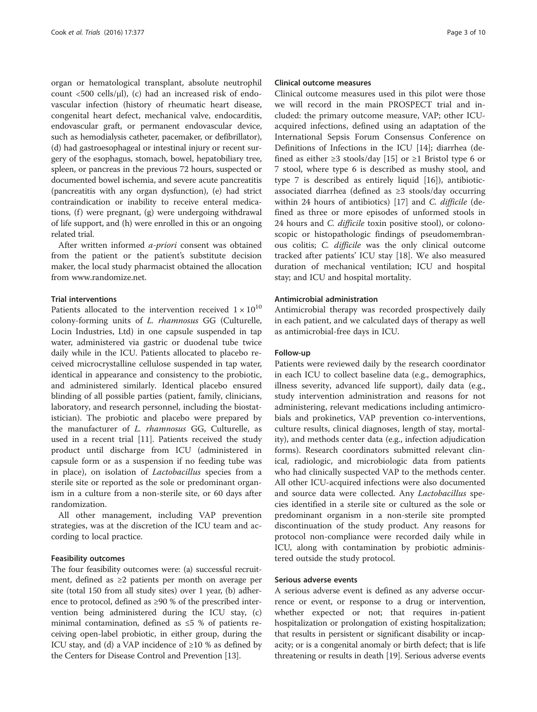organ or hematological transplant, absolute neutrophil count <500 cells/μl), (c) had an increased risk of endovascular infection (history of rheumatic heart disease, congenital heart defect, mechanical valve, endocarditis, endovascular graft, or permanent endovascular device, such as hemodialysis catheter, pacemaker, or defibrillator), (d) had gastroesophageal or intestinal injury or recent surgery of the esophagus, stomach, bowel, hepatobiliary tree, spleen, or pancreas in the previous 72 hours, suspected or documented bowel ischemia, and severe acute pancreatitis (pancreatitis with any organ dysfunction), (e) had strict contraindication or inability to receive enteral medications,  $(f)$  were pregnant,  $(g)$  were undergoing withdrawal of life support, and (h) were enrolled in this or an ongoing related trial.

After written informed a-priori consent was obtained from the patient or the patient's substitute decision maker, the local study pharmacist obtained the allocation from [www.randomize.net.](http://www.randomize.net/)

# Trial interventions

Patients allocated to the intervention received  $1 \times 10^{10}$ colony-forming units of L. rhamnosus GG (Culturelle, Locin Industries, Ltd) in one capsule suspended in tap water, administered via gastric or duodenal tube twice daily while in the ICU. Patients allocated to placebo received microcrystalline cellulose suspended in tap water, identical in appearance and consistency to the probiotic, and administered similarly. Identical placebo ensured blinding of all possible parties (patient, family, clinicians, laboratory, and research personnel, including the biostatistician). The probiotic and placebo were prepared by the manufacturer of L. rhamnosus GG, Culturelle, as used in a recent trial [[11\]](#page-9-0). Patients received the study product until discharge from ICU (administered in capsule form or as a suspension if no feeding tube was in place), on isolation of Lactobacillus species from a sterile site or reported as the sole or predominant organism in a culture from a non-sterile site, or 60 days after randomization.

All other management, including VAP prevention strategies, was at the discretion of the ICU team and according to local practice.

## Feasibility outcomes

The four feasibility outcomes were: (a) successful recruitment, defined as ≥2 patients per month on average per site (total 150 from all study sites) over 1 year, (b) adherence to protocol, defined as ≥90 % of the prescribed intervention being administered during the ICU stay, (c) minimal contamination, defined as  $\leq 5$  % of patients receiving open-label probiotic, in either group, during the ICU stay, and (d) a VAP incidence of  $\geq 10$  % as defined by the Centers for Disease Control and Prevention [\[13\]](#page-9-0).

# Clinical outcome measures

Clinical outcome measures used in this pilot were those we will record in the main PROSPECT trial and included: the primary outcome measure, VAP; other ICUacquired infections, defined using an adaptation of the International Sepsis Forum Consensus Conference on Definitions of Infections in the ICU [[14\]](#page-9-0); diarrhea (defined as either  $\geq$ 3 stools/day [[15](#page-9-0)] or  $\geq$ 1 Bristol type 6 or 7 stool, where type 6 is described as mushy stool, and type 7 is described as entirely liquid [\[16\]](#page-9-0)), antibioticassociated diarrhea (defined as ≥3 stools/day occurring within 24 hours of antibiotics) [[17\]](#page-9-0) and C. difficile (defined as three or more episodes of unformed stools in 24 hours and C. difficile toxin positive stool), or colonoscopic or histopathologic findings of pseudomembranous colitis; C. difficile was the only clinical outcome tracked after patients' ICU stay [\[18](#page-9-0)]. We also measured duration of mechanical ventilation; ICU and hospital stay; and ICU and hospital mortality.

# Antimicrobial administration

Antimicrobial therapy was recorded prospectively daily in each patient, and we calculated days of therapy as well as antimicrobial-free days in ICU.

# Follow-up

Patients were reviewed daily by the research coordinator in each ICU to collect baseline data (e.g., demographics, illness severity, advanced life support), daily data (e.g., study intervention administration and reasons for not administering, relevant medications including antimicrobials and prokinetics, VAP prevention co-interventions, culture results, clinical diagnoses, length of stay, mortality), and methods center data (e.g., infection adjudication forms). Research coordinators submitted relevant clinical, radiologic, and microbiologic data from patients who had clinically suspected VAP to the methods center. All other ICU-acquired infections were also documented and source data were collected. Any Lactobacillus species identified in a sterile site or cultured as the sole or predominant organism in a non-sterile site prompted discontinuation of the study product. Any reasons for protocol non-compliance were recorded daily while in ICU, along with contamination by probiotic administered outside the study protocol.

# Serious adverse events

A serious adverse event is defined as any adverse occurrence or event, or response to a drug or intervention, whether expected or not; that requires in-patient hospitalization or prolongation of existing hospitalization; that results in persistent or significant disability or incapacity; or is a congenital anomaly or birth defect; that is life threatening or results in death [\[19](#page-9-0)]. Serious adverse events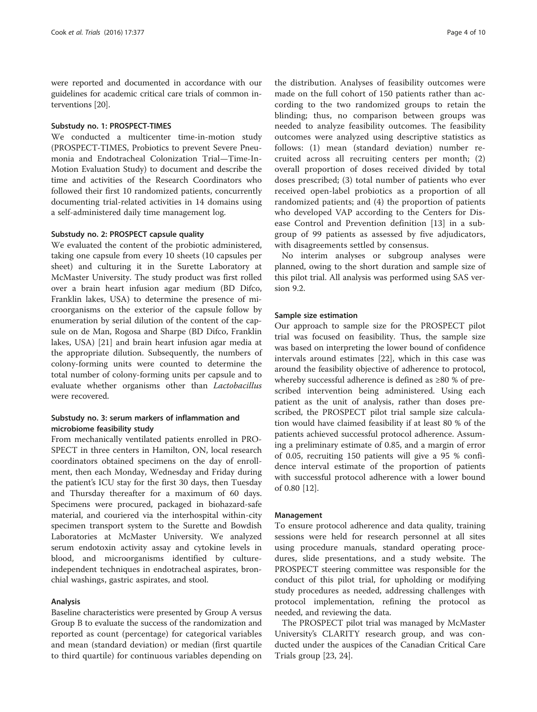were reported and documented in accordance with our guidelines for academic critical care trials of common interventions [\[20\]](#page-9-0).

# Substudy no. 1: PROSPECT-TIMES

We conducted a multicenter time-in-motion study (PROSPECT-TIMES, Probiotics to prevent Severe Pneumonia and Endotracheal Colonization Trial—Time-In-Motion Evaluation Study) to document and describe the time and activities of the Research Coordinators who followed their first 10 randomized patients, concurrently documenting trial-related activities in 14 domains using a self-administered daily time management log.

# Substudy no. 2: PROSPECT capsule quality

We evaluated the content of the probiotic administered, taking one capsule from every 10 sheets (10 capsules per sheet) and culturing it in the Surette Laboratory at McMaster University. The study product was first rolled over a brain heart infusion agar medium (BD Difco, Franklin lakes, USA) to determine the presence of microorganisms on the exterior of the capsule follow by enumeration by serial dilution of the content of the capsule on de Man, Rogosa and Sharpe (BD Difco, Franklin lakes, USA) [[21\]](#page-9-0) and brain heart infusion agar media at the appropriate dilution. Subsequently, the numbers of colony-forming units were counted to determine the total number of colony-forming units per capsule and to evaluate whether organisms other than Lactobacillus were recovered.

# Substudy no. 3: serum markers of inflammation and microbiome feasibility study

From mechanically ventilated patients enrolled in PRO-SPECT in three centers in Hamilton, ON, local research coordinators obtained specimens on the day of enrollment, then each Monday, Wednesday and Friday during the patient's ICU stay for the first 30 days, then Tuesday and Thursday thereafter for a maximum of 60 days. Specimens were procured, packaged in biohazard-safe material, and couriered via the interhospital within-city specimen transport system to the Surette and Bowdish Laboratories at McMaster University. We analyzed serum endotoxin activity assay and cytokine levels in blood, and microorganisms identified by cultureindependent techniques in endotracheal aspirates, bronchial washings, gastric aspirates, and stool.

# Analysis

Baseline characteristics were presented by Group A versus Group B to evaluate the success of the randomization and reported as count (percentage) for categorical variables and mean (standard deviation) or median (first quartile to third quartile) for continuous variables depending on

the distribution. Analyses of feasibility outcomes were made on the full cohort of 150 patients rather than according to the two randomized groups to retain the blinding; thus, no comparison between groups was needed to analyze feasibility outcomes. The feasibility outcomes were analyzed using descriptive statistics as follows: (1) mean (standard deviation) number recruited across all recruiting centers per month; (2) overall proportion of doses received divided by total doses prescribed; (3) total number of patients who ever received open-label probiotics as a proportion of all randomized patients; and (4) the proportion of patients who developed VAP according to the Centers for Disease Control and Prevention definition [[13\]](#page-9-0) in a subgroup of 99 patients as assessed by five adjudicators, with disagreements settled by consensus.

No interim analyses or subgroup analyses were planned, owing to the short duration and sample size of this pilot trial. All analysis was performed using SAS version 9.2.

# Sample size estimation

Our approach to sample size for the PROSPECT pilot trial was focused on feasibility. Thus, the sample size was based on interpreting the lower bound of confidence intervals around estimates [[22](#page-9-0)], which in this case was around the feasibility objective of adherence to protocol, whereby successful adherence is defined as ≥80 % of prescribed intervention being administered. Using each patient as the unit of analysis, rather than doses prescribed, the PROSPECT pilot trial sample size calculation would have claimed feasibility if at least 80 % of the patients achieved successful protocol adherence. Assuming a preliminary estimate of 0.85, and a margin of error of 0.05, recruiting 150 patients will give a 95 % confidence interval estimate of the proportion of patients with successful protocol adherence with a lower bound of 0.80 [[12](#page-9-0)].

#### Management

To ensure protocol adherence and data quality, training sessions were held for research personnel at all sites using procedure manuals, standard operating procedures, slide presentations, and a study website. The PROSPECT steering committee was responsible for the conduct of this pilot trial, for upholding or modifying study procedures as needed, addressing challenges with protocol implementation, refining the protocol as needed, and reviewing the data.

The PROSPECT pilot trial was managed by McMaster University's CLARITY research group, and was conducted under the auspices of the Canadian Critical Care Trials group [\[23](#page-9-0), [24](#page-9-0)].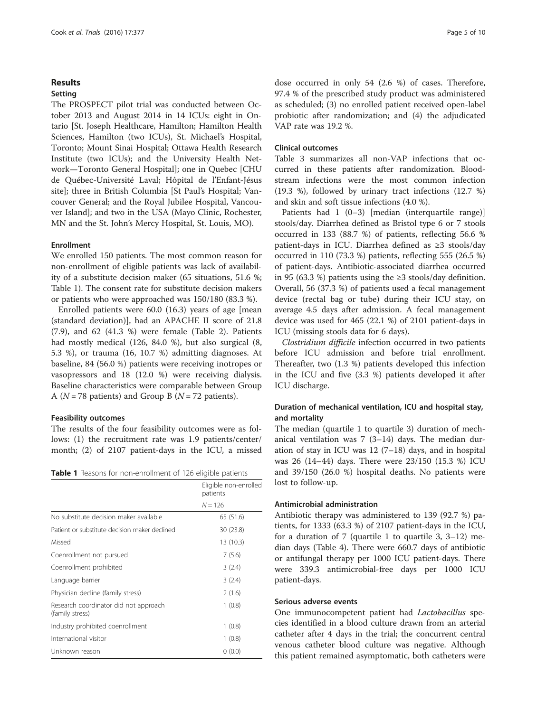# Results

# Setting

The PROSPECT pilot trial was conducted between October 2013 and August 2014 in 14 ICUs: eight in Ontario [St. Joseph Healthcare, Hamilton; Hamilton Health Sciences, Hamilton (two ICUs), St. Michael's Hospital, Toronto; Mount Sinai Hospital; Ottawa Health Research Institute (two ICUs); and the University Health Network—Toronto General Hospital]; one in Quebec [CHU de Québec-Université Laval; Hôpital de l'Enfant-Jésus site]; three in British Columbia [St Paul's Hospital; Vancouver General; and the Royal Jubilee Hospital, Vancouver Island]; and two in the USA (Mayo Clinic, Rochester, MN and the St. John's Mercy Hospital, St. Louis, MO).

# Enrollment

We enrolled 150 patients. The most common reason for non-enrollment of eligible patients was lack of availability of a substitute decision maker (65 situations, 51.6 %; Table 1). The consent rate for substitute decision makers or patients who were approached was 150/180 (83.3 %).

Enrolled patients were 60.0 (16.3) years of age [mean (standard deviation)], had an APACHE II score of 21.8 (7.9), and 62 (41.3 %) were female (Table [2\)](#page-5-0). Patients had mostly medical (126, 84.0 %), but also surgical (8, 5.3 %), or trauma (16, 10.7 %) admitting diagnoses. At baseline, 84 (56.0 %) patients were receiving inotropes or vasopressors and 18 (12.0 %) were receiving dialysis. Baseline characteristics were comparable between Group A ( $N = 78$  patients) and Group B ( $N = 72$  patients).

# Feasibility outcomes

The results of the four feasibility outcomes were as follows: (1) the recruitment rate was 1.9 patients/center/ month; (2) of 2107 patient-days in the ICU, a missed

| Table 1 Reasons for non-enrollment of 126 eligible patients |  |
|-------------------------------------------------------------|--|
|-------------------------------------------------------------|--|

|                                                          | Eligible non-enrolled<br>patients |
|----------------------------------------------------------|-----------------------------------|
|                                                          | $N = 126$                         |
| No substitute decision maker available                   | 65 (51.6)                         |
| Patient or substitute decision maker declined            | 30 (23.8)                         |
| Missed                                                   | 13 (10.3)                         |
| Coenrollment not pursued                                 | 7(5.6)                            |
| Coenrollment prohibited                                  | 3(2.4)                            |
| Language barrier                                         | 3(2.4)                            |
| Physician decline (family stress)                        | 2(1.6)                            |
| Research coordinator did not approach<br>(family stress) | 1(0.8)                            |
| Industry prohibited coenrollment                         | 1(0.8)                            |
| International visitor                                    | 1(0.8)                            |
| Unknown reason                                           | 0(0.0)                            |

dose occurred in only 54 (2.6 %) of cases. Therefore, 97.4 % of the prescribed study product was administered as scheduled; (3) no enrolled patient received open-label probiotic after randomization; and (4) the adjudicated VAP rate was 19.2 %.

# Clinical outcomes

Table [3](#page-5-0) summarizes all non-VAP infections that occurred in these patients after randomization. Bloodstream infections were the most common infection (19.3 %), followed by urinary tract infections (12.7 %) and skin and soft tissue infections (4.0 %).

Patients had 1 (0–3) [median (interquartile range)] stools/day. Diarrhea defined as Bristol type 6 or 7 stools occurred in 133 (88.7 %) of patients, reflecting 56.6 % patient-days in ICU. Diarrhea defined as ≥3 stools/day occurred in 110 (73.3 %) patients, reflecting 555 (26.5 %) of patient-days. Antibiotic-associated diarrhea occurred in 95 (63.3 %) patients using the ≥3 stools/day definition. Overall, 56 (37.3 %) of patients used a fecal management device (rectal bag or tube) during their ICU stay, on average 4.5 days after admission. A fecal management device was used for 465 (22.1 %) of 2101 patient-days in ICU (missing stools data for 6 days).

Clostridium difficile infection occurred in two patients before ICU admission and before trial enrollment. Thereafter, two (1.3 %) patients developed this infection in the ICU and five (3.3 %) patients developed it after ICU discharge.

# Duration of mechanical ventilation, ICU and hospital stay, and mortality

The median (quartile 1 to quartile 3) duration of mechanical ventilation was 7 (3–14) days. The median duration of stay in ICU was 12 (7–18) days, and in hospital was 26 (14–44) days. There were 23/150 (15.3 %) ICU and 39/150 (26.0 %) hospital deaths. No patients were lost to follow-up.

## Antimicrobial administration

Antibiotic therapy was administered to 139 (92.7 %) patients, for 1333 (63.3 %) of 2107 patient-days in the ICU, for a duration of 7 (quartile 1 to quartile 3, 3–12) median days (Table [4](#page-6-0)). There were 660.7 days of antibiotic or antifungal therapy per 1000 ICU patient-days. There were 339.3 antimicrobial-free days per 1000 ICU patient-days.

### Serious adverse events

One immunocompetent patient had Lactobacillus species identified in a blood culture drawn from an arterial catheter after 4 days in the trial; the concurrent central venous catheter blood culture was negative. Although this patient remained asymptomatic, both catheters were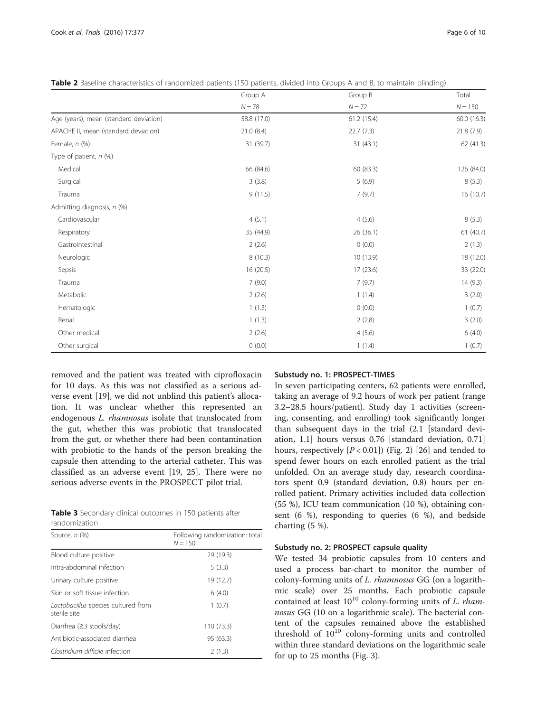|                                        | Group A     | Group B     | Total       |
|----------------------------------------|-------------|-------------|-------------|
|                                        | $N = 78$    | $N = 72$    | $N = 150$   |
| Age (years), mean (standard deviation) | 58.8 (17.0) | 61.2 (15.4) | 60.0 (16.3) |
| APACHE II, mean (standard deviation)   | 21.0(8.4)   | 22.7(7.3)   | 21.8 (7.9)  |
| Female, $n$ (%)                        | 31 (39.7)   | 31(43.1)    | 62 (41.3)   |
| Type of patient, n (%)                 |             |             |             |
| Medical                                | 66 (84.6)   | 60 (83.3)   | 126 (84.0)  |
| Surgical                               | 3(3.8)      | 5(6.9)      | 8(5.3)      |
| Trauma                                 | 9(11.5)     | 7(9.7)      | 16(10.7)    |
| Admitting diagnosis, n (%)             |             |             |             |
| Cardiovascular                         | 4(5.1)      | 4(5.6)      | 8(5.3)      |
| Respiratory                            | 35 (44.9)   | 26 (36.1)   | 61 (40.7)   |
| Gastrointestinal                       | 2(2.6)      | 0(0.0)      | 2(1.3)      |
| Neurologic                             | 8(10.3)     | 10 (13.9)   | 18 (12.0)   |
| Sepsis                                 | 16(20.5)    | 17(23.6)    | 33 (22.0)   |
| Trauma                                 | 7(9.0)      | 7(9.7)      | 14(9.3)     |
| Metabolic                              | 2(2.6)      | 1(1.4)      | 3(2.0)      |
| Hematologic                            | 1(1.3)      | 0(0.0)      | 1(0.7)      |
| Renal                                  | 1(1.3)      | 2(2.8)      | 3(2.0)      |
| Other medical                          | 2(2.6)      | 4(5.6)      | 6(4.0)      |
| Other surgical                         | (0.0)       | 1(1.4)      | 1(0.7)      |

<span id="page-5-0"></span>Table 2 Baseline characteristics of randomized patients (150 patients, divided into Groups A and B, to maintain blinding)

removed and the patient was treated with ciprofloxacin for 10 days. As this was not classified as a serious adverse event [[19\]](#page-9-0), we did not unblind this patient's allocation. It was unclear whether this represented an endogenous L. rhamnosus isolate that translocated from the gut, whether this was probiotic that translocated from the gut, or whether there had been contamination with probiotic to the hands of the person breaking the capsule then attending to the arterial catheter. This was classified as an adverse event [\[19](#page-9-0), [25\]](#page-9-0). There were no serious adverse events in the PROSPECT pilot trial.

|               | Table 3 Secondary clinical outcomes in 150 patients after |  |  |  |
|---------------|-----------------------------------------------------------|--|--|--|
| randomization |                                                           |  |  |  |

| Source, n (%)                                       | Following randomization: total<br>$N = 150$ |  |  |
|-----------------------------------------------------|---------------------------------------------|--|--|
| Blood culture positive                              | 29 (19.3)                                   |  |  |
|                                                     |                                             |  |  |
| Intra-abdominal infection                           | 5(3.3)                                      |  |  |
| Urinary culture positive                            | 19 (12.7)                                   |  |  |
| Skin or soft tissue infection                       | 6(4.0)                                      |  |  |
| Lactobacillus species cultured from<br>sterile site | 1(0.7)                                      |  |  |
| Diarrhea (≥3 stools/day)                            | 110 (73.3)                                  |  |  |
| Antibiotic-associated diarrhea                      | 95 (63.3)                                   |  |  |
| Clostridium difficile infection                     | 2(1.3)                                      |  |  |

# Substudy no. 1: PROSPECT-TIMES

In seven participating centers, 62 patients were enrolled, taking an average of 9.2 hours of work per patient (range 3.2–28.5 hours/patient). Study day 1 activities (screening, consenting, and enrolling) took significantly longer than subsequent days in the trial (2.1 [standard deviation, 1.1] hours versus 0.76 [standard deviation, 0.71] hours, respectively  $[P < 0.01]$ ) (Fig. [2\)](#page-6-0) [\[26](#page-9-0)] and tended to spend fewer hours on each enrolled patient as the trial unfolded. On an average study day, research coordinators spent 0.9 (standard deviation, 0.8) hours per enrolled patient. Primary activities included data collection (55 %), ICU team communication (10 %), obtaining consent (6 %), responding to queries (6 %), and bedside charting (5 %).

# Substudy no. 2: PROSPECT capsule quality

We tested 34 probiotic capsules from 10 centers and used a process bar-chart to monitor the number of colony-forming units of L. rhamnosus GG (on a logarithmic scale) over 25 months. Each probiotic capsule contained at least  $10^{10}$  colony-forming units of *L. rham*nosus GG (10 on a logarithmic scale). The bacterial content of the capsules remained above the established threshold of  $10^{10}$  colony-forming units and controlled within three standard deviations on the logarithmic scale for up to 25 months (Fig. [3](#page-6-0)).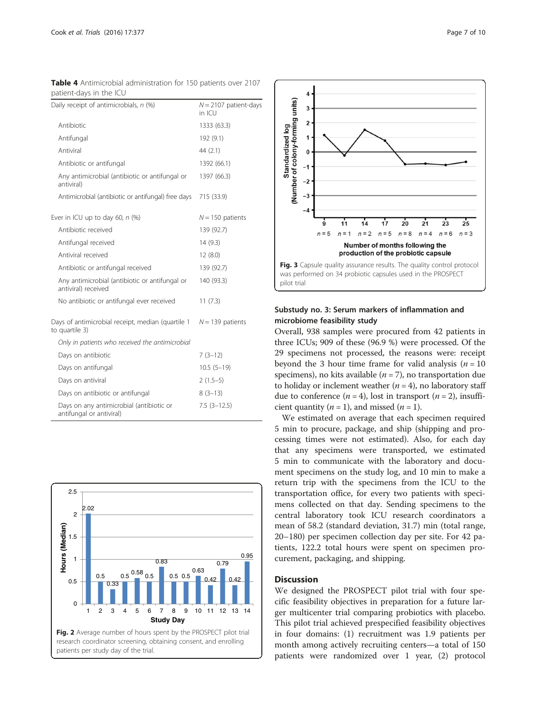| Daily receipt of antimicrobials, n (%)                                                   | $N = 2107$ patient-days<br>in ICU |
|------------------------------------------------------------------------------------------|-----------------------------------|
| Antibiotic                                                                               | 1333 (63.3)                       |
| Antifungal                                                                               | 192 (9.1)                         |
| Antiviral                                                                                | 44 (2.1)                          |
| Antibiotic or antifungal                                                                 | 1392 (66.1)                       |
| Any antimicrobial (antibiotic or antifungal or<br>antiviral)                             | 1397 (66.3)                       |
| Antimicrobial (antibiotic or antifungal) free days                                       | 715 (33.9)                        |
| Ever in ICU up to day 60, $n$ (%)                                                        | $N = 150$ patients                |
| Antibiotic received                                                                      | 139 (92.7)                        |
| Antifungal received                                                                      | 14(9.3)                           |
| Antiviral received                                                                       | 12(8.0)                           |
| Antibiotic or antifungal received                                                        | 139 (92.7)                        |
| Any antimicrobial (antibiotic or antifungal or<br>antiviral) received                    | 140 (93.3)                        |
| No antibiotic or antifungal ever received                                                | 11(7.3)                           |
| Days of antimicrobial receipt, median (quartile $1$ $N = 139$ patients<br>to quartile 3) |                                   |
| Only in patients who received the antimicrobial                                          |                                   |
| Days on antibiotic                                                                       | $7(3-12)$                         |
| Days on antifungal                                                                       | $10.5(5-19)$                      |
| Days on antiviral                                                                        | $2(1.5-5)$                        |
| Days on antibiotic or antifungal                                                         | $8(3-13)$                         |
| Days on any antimicrobial (antibiotic or<br>antifungal or antiviral)                     | $7.5(3 - 12.5)$                   |

<span id="page-6-0"></span>Table 4 Antimicrobial administration for 150 patients over 2107 patient-days in the ICU





# Substudy no. 3: Serum markers of inflammation and microbiome feasibility study

Overall, 938 samples were procured from 42 patients in three ICUs; 909 of these (96.9 %) were processed. Of the 29 specimens not processed, the reasons were: receipt beyond the 3 hour time frame for valid analysis  $(n = 10)$ specimens), no kits available  $(n = 7)$ , no transportation due to holiday or inclement weather  $(n = 4)$ , no laboratory staff due to conference  $(n = 4)$ , lost in transport  $(n = 2)$ , insufficient quantity ( $n = 1$ ), and missed ( $n = 1$ ).

We estimated on average that each specimen required 5 min to procure, package, and ship (shipping and processing times were not estimated). Also, for each day that any specimens were transported, we estimated 5 min to communicate with the laboratory and document specimens on the study log, and 10 min to make a return trip with the specimens from the ICU to the transportation office, for every two patients with specimens collected on that day. Sending specimens to the central laboratory took ICU research coordinators a mean of 58.2 (standard deviation, 31.7) min (total range, 20–180) per specimen collection day per site. For 42 patients, 122.2 total hours were spent on specimen procurement, packaging, and shipping.

# **Discussion**

We designed the PROSPECT pilot trial with four specific feasibility objectives in preparation for a future larger multicenter trial comparing probiotics with placebo. This pilot trial achieved prespecified feasibility objectives in four domains: (1) recruitment was 1.9 patients per month among actively recruiting centers—a total of 150 patients were randomized over 1 year, (2) protocol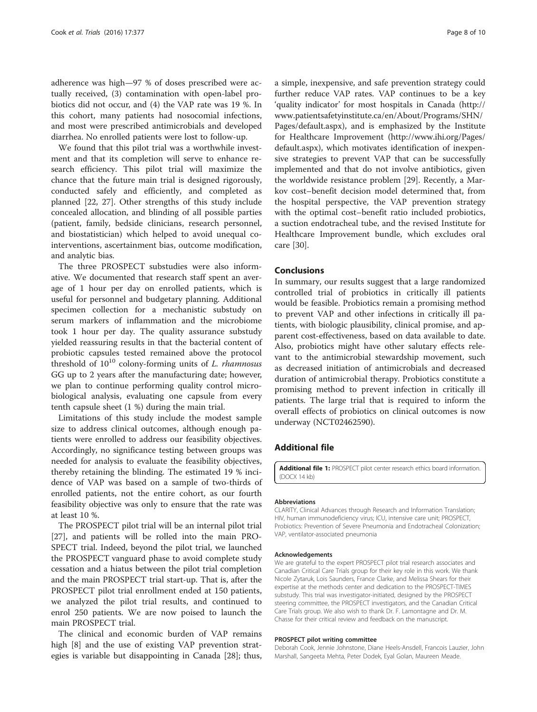<span id="page-7-0"></span>adherence was high—97 % of doses prescribed were actually received, (3) contamination with open-label probiotics did not occur, and (4) the VAP rate was 19 %. In this cohort, many patients had nosocomial infections, and most were prescribed antimicrobials and developed diarrhea. No enrolled patients were lost to follow-up.

We found that this pilot trial was a worthwhile investment and that its completion will serve to enhance research efficiency. This pilot trial will maximize the chance that the future main trial is designed rigorously, conducted safely and efficiently, and completed as planned [[22, 27\]](#page-9-0). Other strengths of this study include concealed allocation, and blinding of all possible parties (patient, family, bedside clinicians, research personnel, and biostatistician) which helped to avoid unequal cointerventions, ascertainment bias, outcome modification, and analytic bias.

The three PROSPECT substudies were also informative. We documented that research staff spent an average of 1 hour per day on enrolled patients, which is useful for personnel and budgetary planning. Additional specimen collection for a mechanistic substudy on serum markers of inflammation and the microbiome took 1 hour per day. The quality assurance substudy yielded reassuring results in that the bacterial content of probiotic capsules tested remained above the protocol threshold of  $10^{10}$  colony-forming units of *L. rhamnosus* GG up to 2 years after the manufacturing date; however, we plan to continue performing quality control microbiological analysis, evaluating one capsule from every tenth capsule sheet (1 %) during the main trial.

Limitations of this study include the modest sample size to address clinical outcomes, although enough patients were enrolled to address our feasibility objectives. Accordingly, no significance testing between groups was needed for analysis to evaluate the feasibility objectives, thereby retaining the blinding. The estimated 19 % incidence of VAP was based on a sample of two-thirds of enrolled patients, not the entire cohort, as our fourth feasibility objective was only to ensure that the rate was at least 10 %.

The PROSPECT pilot trial will be an internal pilot trial [[27\]](#page-9-0), and patients will be rolled into the main PRO-SPECT trial. Indeed, beyond the pilot trial, we launched the PROSPECT vanguard phase to avoid complete study cessation and a hiatus between the pilot trial completion and the main PROSPECT trial start-up. That is, after the PROSPECT pilot trial enrollment ended at 150 patients, we analyzed the pilot trial results, and continued to enrol 250 patients. We are now poised to launch the main PROSPECT trial.

The clinical and economic burden of VAP remains high [\[8](#page-9-0)] and the use of existing VAP prevention strategies is variable but disappointing in Canada [[28](#page-9-0)]; thus, a simple, inexpensive, and safe prevention strategy could further reduce VAP rates. VAP continues to be a key 'quality indicator' for most hospitals in Canada [\(http://](http://www.patientsafetyinstitute.ca/en/About/Programs/SHN/Pages/default.aspx) [www.patientsafetyinstitute.ca/en/About/Programs/SHN/](http://www.patientsafetyinstitute.ca/en/About/Programs/SHN/Pages/default.aspx) [Pages/default.aspx\)](http://www.patientsafetyinstitute.ca/en/About/Programs/SHN/Pages/default.aspx), and is emphasized by the Institute for Healthcare Improvement ([http://www.ihi.org/Pages/](http://www.ihi.org/Pages/default.aspx) [default.aspx](http://www.ihi.org/Pages/default.aspx)), which motivates identification of inexpensive strategies to prevent VAP that can be successfully implemented and that do not involve antibiotics, given the worldwide resistance problem [\[29\]](#page-9-0). Recently, a Markov cost–benefit decision model determined that, from the hospital perspective, the VAP prevention strategy with the optimal cost–benefit ratio included probiotics, a suction endotracheal tube, and the revised Institute for Healthcare Improvement bundle, which excludes oral care [[30\]](#page-9-0).

# Conclusions

In summary, our results suggest that a large randomized controlled trial of probiotics in critically ill patients would be feasible. Probiotics remain a promising method to prevent VAP and other infections in critically ill patients, with biologic plausibility, clinical promise, and apparent cost-effectiveness, based on data available to date. Also, probiotics might have other salutary effects relevant to the antimicrobial stewardship movement, such as decreased initiation of antimicrobials and decreased duration of antimicrobial therapy. Probiotics constitute a promising method to prevent infection in critically ill patients. The large trial that is required to inform the overall effects of probiotics on clinical outcomes is now underway (NCT02462590).

# Additional file

[Additional file 1:](dx.doi.org/10.1186/s13063-016-1495-x) PROSPECT pilot center research ethics board information. (DOCX 14 kb)

#### Abbreviations

CLARITY, Clinical Advances through Research and Information Translation; HIV, human immunodeficiency virus; ICU, intensive care unit; PROSPECT, Probiotics: Prevention of Severe Pneumonia and Endotracheal Colonization; VAP, ventilator-associated pneumonia

#### Acknowledgements

We are grateful to the expert PROSPECT pilot trial research associates and Canadian Critical Care Trials group for their key role in this work. We thank Nicole Zytaruk, Lois Saunders, France Clarke, and Melissa Shears for their expertise at the methods center and dedication to the PROSPECT-TIMES substudy. This trial was investigator-initiated, designed by the PROSPECT steering committee, the PROSPECT investigators, and the Canadian Critical Care Trials group. We also wish to thank Dr. F. Lamontagne and Dr. M. Chasse for their critical review and feedback on the manuscript.

# PROSPECT pilot writing committee

Deborah Cook, Jennie Johnstone, Diane Heels-Ansdell, Francois Lauzier, John Marshall, Sangeeta Mehta, Peter Dodek, Eyal Golan, Maureen Meade.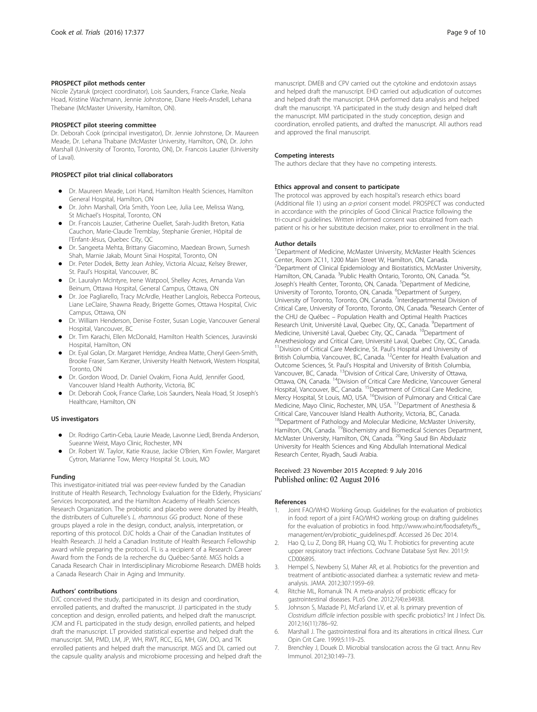## <span id="page-8-0"></span>PROSPECT pilot methods center

Nicole Zytaruk (project coordinator), Lois Saunders, France Clarke, Neala Hoad, Kristine Wachmann, Jennie Johnstone, Diane Heels-Ansdell, Lehana Thebane (McMaster University, Hamilton, ON).

#### PROSPECT pilot steering committee

Dr. Deborah Cook (principal investigator), Dr. Jennie Johnstone, Dr. Maureen Meade, Dr. Lehana Thabane (McMaster University, Hamilton, ON), Dr. John Marshall (University of Toronto, Toronto, ON), Dr. Francois Lauzier (University of Laval).

#### PROSPECT pilot trial clinical collaborators

- Dr. Maureen Meade, Lori Hand, Hamilton Health Sciences, Hamilton General Hospital, Hamilton, ON
- Dr. John Marshall, Orla Smith, Yoon Lee, Julia Lee, Melissa Wang, St Michael's Hospital, Toronto, ON
- Dr. Francois Lauzier, Catherine Ouellet, Sarah-Judith Breton, Katia Cauchon, Marie-Claude Tremblay, Stephanie Grenier, Hôpital de l'Enfant-Jésus, Quebec City, QC
- Dr. Sangeeta Mehta, Brittany Giacomino, Maedean Brown, Sumesh Shah, Marnie Jakab, Mount Sinai Hospital, Toronto, ON
- Dr. Peter Dodek, Betty Jean Ashley, Victoria Alcuaz, Kelsey Brewer, St. Paul's Hospital, Vancouver, BC
- Dr. Lauralyn McIntyre, Irene Watpool, Shelley Acres, Amanda Van Beinum, Ottawa Hospital, General Campus, Ottawa, ON
- Dr. Joe Pagliarello, Tracy McArdle, Heather Langlois, Rebecca Porteous, Liane LeClaire, Shawna Ready, Brigette Gomes, Ottawa Hospital, Civic Campus, Ottawa, ON
- Dr. William Henderson, Denise Foster, Susan Logie, Vancouver General Hospital, Vancouver, BC
- Dr. Tim Karachi, Ellen McDonald, Hamilton Health Sciences, Juravinski Hospital, Hamilton, ON
- Dr. Eyal Golan, Dr. Margaret Herridge, Andrea Matte, Cheryl Geen-Smith, Brooke Fraser, Sam Kerzner, University Health Network, Western Hospital, Toronto, ON
- Dr. Gordon Wood, Dr. Daniel Ovakim, Fiona Auld, Jennifer Good, Vancouver Island Health Authority, Victoria, BC
- Dr. Deborah Cook, France Clarke, Lois Saunders, Neala Hoad, St Joseph'<sup>s</sup> Healthcare, Hamilton, ON

#### US investigators

- Dr. Rodrigo Cartin-Ceba, Laurie Meade, Lavonne Liedl, Brenda Anderson, Sueanne Weist, Mayo Clinic, Rochester, MN
- Dr. Robert W. Taylor, Katie Krause, Jackie O'Brien, Kim Fowler, Margaret Cytron, Marianne Tow, Mercy Hospital St. Louis, MO

#### Funding

This investigator-initiated trial was peer-review funded by the Canadian Institute of Health Research, Technology Evaluation for the Elderly, Physicians' Services Incorporated, and the Hamilton Academy of Health Sciences Research Organization. The probiotic and placebo were donated by iHealth, the distributers of Culturelle's L. rhamnosus GG product. None of these groups played a role in the design, conduct, analysis, interpretation, or reporting of this protocol. DJC holds a Chair of the Canadian Institutes of Health Research. JJ held a Canadian Institute of Health Research Fellowship award while preparing the protocol. FL is a recipient of a Research Career Award from the Fonds de la recherche du Québec-Santé. MGS holds a Canada Research Chair in Interdisciplinary Microbiome Research. DMEB holds a Canada Research Chair in Aging and Immunity.

# Authors' contributions

DJC conceived the study, participated in its design and coordination, enrolled patients, and drafted the manuscript. JJ participated in the study conception and design, enrolled patients, and helped draft the manuscript. JCM and FL participated in the study design, enrolled patients, and helped draft the manuscript. LT provided statistical expertise and helped draft the manuscript. SM, PMD, LM, JP, WH, RWT, RCC, EG, MH, GW, DO, and TK enrolled patients and helped draft the manuscript. MGS and DL carried out the capsule quality analysis and microbiome processing and helped draft the manuscript. DMEB and CPV carried out the cytokine and endotoxin assays and helped draft the manuscript. EHD carried out adjudication of outcomes and helped draft the manuscript. DHA performed data analysis and helped draft the manuscript. YA participated in the study design and helped draft the manuscript. MM participated in the study conception, design and coordination, enrolled patients, and drafted the manuscript. All authors read and approved the final manuscript.

#### Competing interests

The authors declare that they have no competing interests.

#### Ethics approval and consent to participate

The protocol was approved by each hospital's research ethics board (Additional file [1](#page-7-0)) using an a-priori consent model. PROSPECT was conducted in accordance with the principles of Good Clinical Practice following the tri-council guidelines. Written informed consent was obtained from each patient or his or her substitute decision maker, prior to enrollment in the trial.

#### Author details

<sup>1</sup>Department of Medicine, McMaster University, McMaster Health Sciences Center, Room 2C11, 1200 Main Street W, Hamilton, ON, Canada. <sup>2</sup> Department of Clinical Epidemiology and Biostatistics, McMaster University Hamilton, ON, Canada. <sup>3</sup>Public Health Ontario, Toronto, ON, Canada. <sup>4</sup>St Joseph's Health Center, Toronto, ON, Canada. <sup>5</sup>Department of Medicine University of Toronto, Toronto, ON, Canada. <sup>6</sup>Department of Surgery University of Toronto, Toronto, ON, Canada. <sup>7</sup>Interdepartmental Division of Critical Care, University of Toronto, Toronto, ON, Canada. <sup>8</sup>Research Center of the CHU de Québec – Population Health and Optimal Health Practices Research Unit, Université Laval, Quebec City, QC, Canada. <sup>9</sup>Department of Medicine, Université Laval, Quebec City, QC, Canada. <sup>10</sup>Department of Anesthesiology and Critical Care, Université Laval, Quebec City, QC, Canada. <sup>11</sup>Division of Critical Care Medicine, St. Paul's Hospital and University of British Columbia, Vancouver, BC, Canada. <sup>12</sup>Center for Health Evaluation and Outcome Sciences, St. Paul's Hospital and University of British Columbia, Vancouver, BC, Canada. 13Division of Critical Care, University of Ottawa, Ottawa, ON, Canada. 14Division of Critical Care Medicine, Vancouver General Hospital, Vancouver, BC, Canada. <sup>15</sup>Department of Critical Care Medicine, Mercy Hospital, St Louis, MO, USA. <sup>16</sup>Division of Pulmonary and Critical Care Medicine, Mayo Clinic, Rochester, MN, USA. 17Department of Anesthesia & Critical Care, Vancouver Island Health Authority, Victoria, BC, Canada. <sup>18</sup>Department of Pathology and Molecular Medicine, McMaster University, Hamilton, ON, Canada. <sup>19</sup>Biochemistry and Biomedical Sciences Department, McMaster University, Hamilton, ON, Canada. <sup>20</sup>King Saud Bin Abdulaziz University for Health Sciences and King Abdullah International Medical Research Center, Riyadh, Saudi Arabia.

# Received: 23 November 2015 Accepted: 9 July 2016 Published online: 02 August 2016

#### References

- Joint FAO/WHO Working Group. Guidelines for the evaluation of probiotics in food: report of a joint FAO/WHO working group on drafting guidelines for the evaluation of probiotics in food. [http://www.who.int/foodsafety/fs\\_](http://www.who.int/foodsafety/fs_management/en/probiotic_guidelines.pdf) [management/en/probiotic\\_guidelines.pdf](http://www.who.int/foodsafety/fs_management/en/probiotic_guidelines.pdf). Accessed 26 Dec 2014.
- 2. Hao Q, Lu Z, Dong BR, Huang CQ, Wu T. Probiotics for preventing acute upper respiratory tract infections. Cochrane Database Syst Rev. 2011;9: CD006895.
- 3. Hempel S, Newberry SJ, Maher AR, et al. Probiotics for the prevention and treatment of antibiotic-associated diarrhea: a systematic review and metaanalysis. JAMA. 2012;307:1959–69.
- 4. Ritchie ML, Romanuk TN. A meta-analysis of probiotic efficacy for gastrointestinal diseases. PLoS One. 2012;7(4):e34938.
- 5. Johnson S, Maziade PJ, McFarland LV, et al. Is primary prevention of Clostridium difficile infection possible with specific probiotics? Int J Infect Dis. 2012;16(11):786–92.
- 6. Marshall J. The gastrointestinal flora and its alterations in critical illness. Curr Opin Crit Care. 1999;5:119–25.
- 7. Brenchley J, Douek D. Microbial translocation across the GI tract. Annu Rev Immunol. 2012;30:149–73.